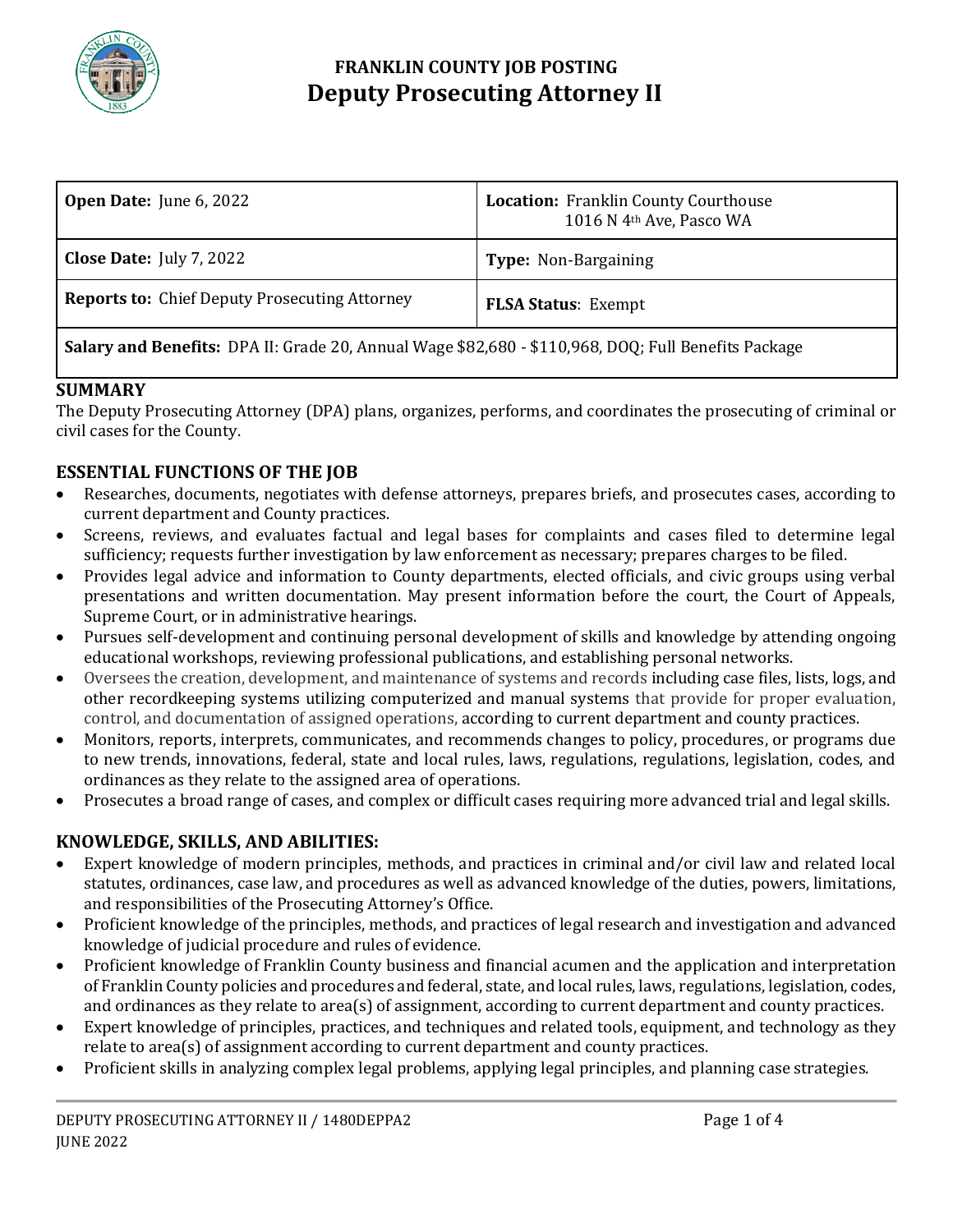

## **FRANKLIN COUNTY JOB POSTING Deputy Prosecuting Attorney II**

| <b>Open Date:</b> June 6, 2022                       | <b>Location:</b> Franklin County Courthouse<br>1016 N 4 <sup>th</sup> Ave, Pasco WA |
|------------------------------------------------------|-------------------------------------------------------------------------------------|
| <b>Close Date:</b> July 7, 2022                      | <b>Type:</b> Non-Bargaining                                                         |
| <b>Reports to:</b> Chief Deputy Prosecuting Attorney | <b>FLSA Status: Exempt</b>                                                          |
| $\frac{1}{2}$<br>$\mathbf{v}$ . $\mathbf{v}$         |                                                                                     |

### **Salary and Benefits:** DPA II: Grade 20, Annual Wage \$82,680 - \$110,968, DOQ; Full Benefits Package

#### **SUMMARY**

The Deputy Prosecuting Attorney (DPA) plans, organizes, performs, and coordinates the prosecuting of criminal or civil cases for the County.

### **ESSENTIAL FUNCTIONS OF THE JOB**

- Researches, documents, negotiates with defense attorneys, prepares briefs, and prosecutes cases, according to current department and County practices.
- Screens, reviews, and evaluates factual and legal bases for complaints and cases filed to determine legal sufficiency; requests further investigation by law enforcement as necessary; prepares charges to be filed.
- Provides legal advice and information to County departments, elected officials, and civic groups using verbal presentations and written documentation. May present information before the court, the Court of Appeals, Supreme Court, or in administrative hearings.
- Pursues self-development and continuing personal development of skills and knowledge by attending ongoing educational workshops, reviewing professional publications, and establishing personal networks.
- Oversees the creation, development, and maintenance of systems and records including case files, lists, logs, and other recordkeeping systems utilizing computerized and manual systems that provide for proper evaluation, control, and documentation of assigned operations, according to current department and county practices.
- Monitors, reports, interprets, communicates, and recommends changes to policy, procedures, or programs due to new trends, innovations, federal, state and local rules, laws, regulations, regulations, legislation, codes, and ordinances as they relate to the assigned area of operations.
- Prosecutes a broad range of cases, and complex or difficult cases requiring more advanced trial and legal skills.

### **KNOWLEDGE, SKILLS, AND ABILITIES:**

- Expert knowledge of modern principles, methods, and practices in criminal and/or civil law and related local statutes, ordinances, case law, and procedures as well as advanced knowledge of the duties, powers, limitations, and responsibilities of the Prosecuting Attorney's Office.
- Proficient knowledge of the principles, methods, and practices of legal research and investigation and advanced knowledge of judicial procedure and rules of evidence.
- Proficient knowledge of Franklin County business and financial acumen and the application and interpretation of Franklin County policies and procedures and federal, state, and local rules, laws, regulations, legislation, codes, and ordinances as they relate to area(s) of assignment, according to current department and county practices.
- Expert knowledge of principles, practices, and techniques and related tools, equipment, and technology as they relate to area(s) of assignment according to current department and county practices.
- Proficient skills in analyzing complex legal problems, applying legal principles, and planning case strategies.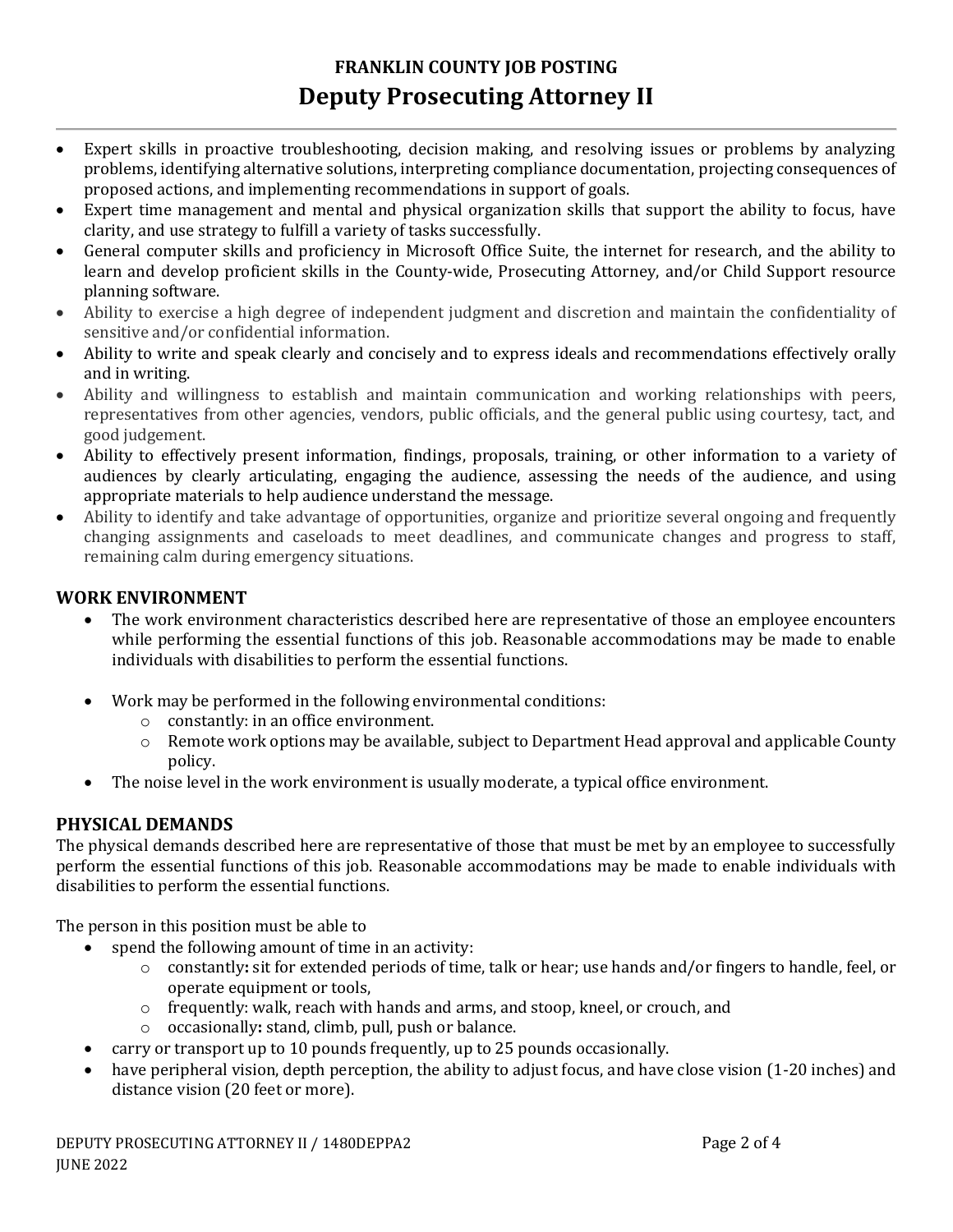# **FRANKLIN COUNTY JOB POSTING Deputy Prosecuting Attorney II**

- Expert skills in proactive troubleshooting, decision making, and resolving issues or problems by analyzing problems, identifying alternative solutions, interpreting compliance documentation, projecting consequences of proposed actions, and implementing recommendations in support of goals.
- Expert time management and mental and physical organization skills that support the ability to focus, have clarity, and use strategy to fulfill a variety of tasks successfully.
- General computer skills and proficiency in Microsoft Office Suite, the internet for research, and the ability to learn and develop proficient skills in the County-wide, Prosecuting Attorney, and/or Child Support resource planning software.
- Ability to exercise a high degree of independent judgment and discretion and maintain the confidentiality of sensitive and/or confidential information.
- Ability to write and speak clearly and concisely and to express ideals and recommendations effectively orally and in writing.
- Ability and willingness to establish and maintain communication and working relationships with peers, representatives from other agencies, vendors, public officials, and the general public using courtesy, tact, and good judgement.
- Ability to effectively present information, findings, proposals, training, or other information to a variety of audiences by clearly articulating, engaging the audience, assessing the needs of the audience, and using appropriate materials to help audience understand the message.
- Ability to identify and take advantage of opportunities, organize and prioritize several ongoing and frequently changing assignments and caseloads to meet deadlines, and communicate changes and progress to staff, remaining calm during emergency situations.

### **WORK ENVIRONMENT**

- The work environment characteristics described here are representative of those an employee encounters while performing the essential functions of this job. Reasonable accommodations may be made to enable individuals with disabilities to perform the essential functions.
- Work may be performed in the following environmental conditions:
	- o constantly: in an office environment.
	- $\circ$  Remote work options may be available, subject to Department Head approval and applicable County policy.
- The noise level in the work environment is usually moderate, a typical office environment.

### **PHYSICAL DEMANDS**

The physical demands described here are representative of those that must be met by an employee to successfully perform the essential functions of this job. Reasonable accommodations may be made to enable individuals with disabilities to perform the essential functions.

The person in this position must be able to

- spend the following amount of time in an activity:
	- o constantly**:** sit for extended periods of time, talk or hear; use hands and/or fingers to handle, feel, or operate equipment or tools,
	- $\circ$  frequently: walk, reach with hands and arms, and stoop, kneel, or crouch, and
	- o occasionally**:** stand, climb, pull, push or balance.
	- carry or transport up to 10 pounds frequently, up to 25 pounds occasionally.
- have peripheral vision, depth perception, the ability to adjust focus, and have close vision (1-20 inches) and distance vision (20 feet or more).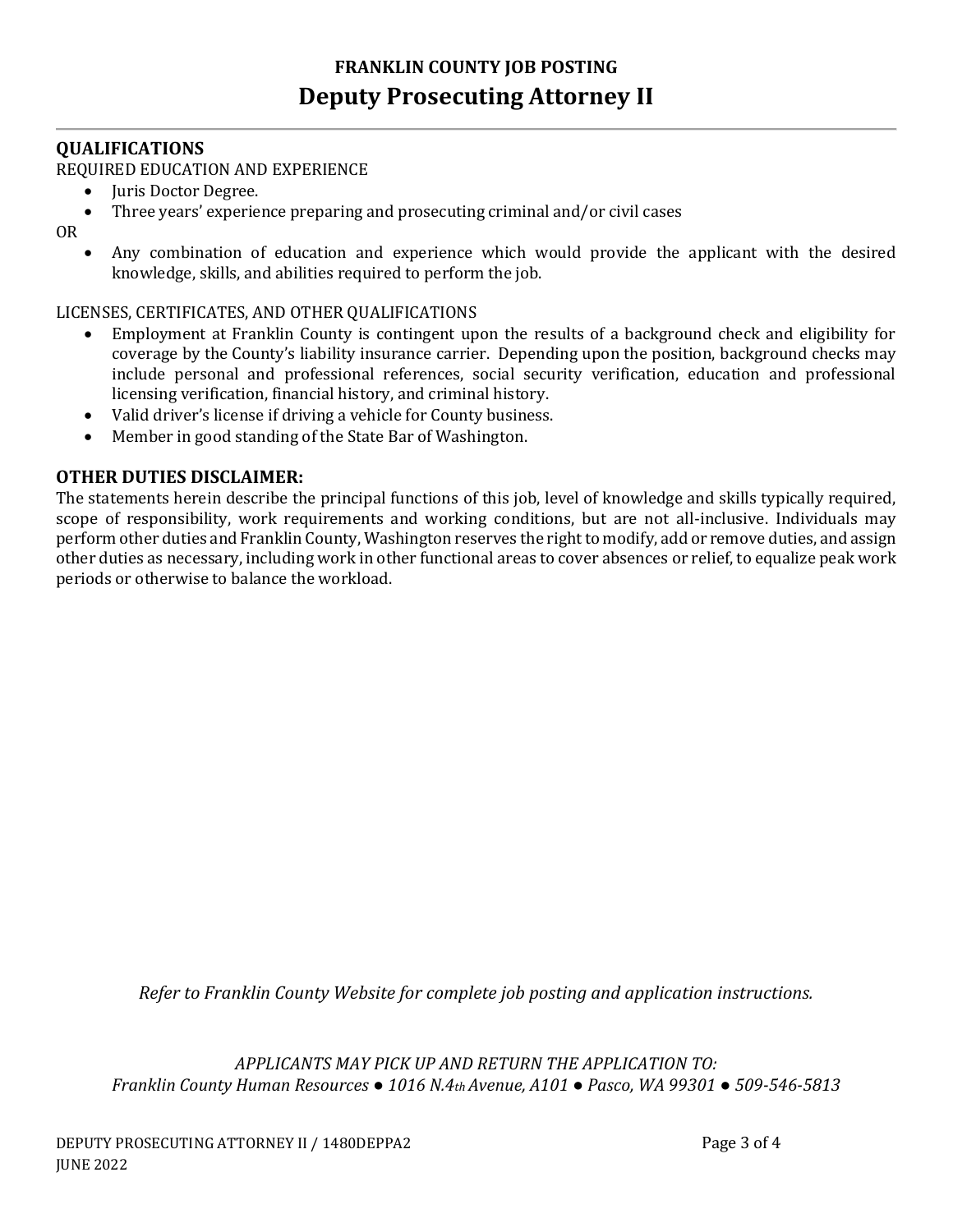#### **QUALIFICATIONS**

#### REQUIRED EDUCATION AND EXPERIENCE

- Juris Doctor Degree.
- Three years' experience preparing and prosecuting criminal and/or civil cases

OR

 Any combination of education and experience which would provide the applicant with the desired knowledge, skills, and abilities required to perform the job.

#### LICENSES, CERTIFICATES, AND OTHER QUALIFICATIONS

- Employment at Franklin County is contingent upon the results of a background check and eligibility for coverage by the County's liability insurance carrier. Depending upon the position, background checks may include personal and professional references, social security verification, education and professional licensing verification, financial history, and criminal history.
- Valid driver's license if driving a vehicle for County business.
- Member in good standing of the State Bar of Washington.

#### **OTHER DUTIES DISCLAIMER:**

The statements herein describe the principal functions of this job, level of knowledge and skills typically required, scope of responsibility, work requirements and working conditions, but are not all-inclusive. Individuals may perform other duties and Franklin County, Washington reserves the right to modify, add or remove duties, and assign other duties as necessary, including work in other functional areas to cover absences or relief, to equalize peak work periods or otherwise to balance the workload.

*Refer to Franklin County Website for complete job posting and application instructions.*

*APPLICANTS MAY PICK UP AND RETURN THE APPLICATION TO: Franklin County Human Resources ● 1016 N.4th Avenue, A101 ● Pasco, WA 99301 ● 509-546-5813*